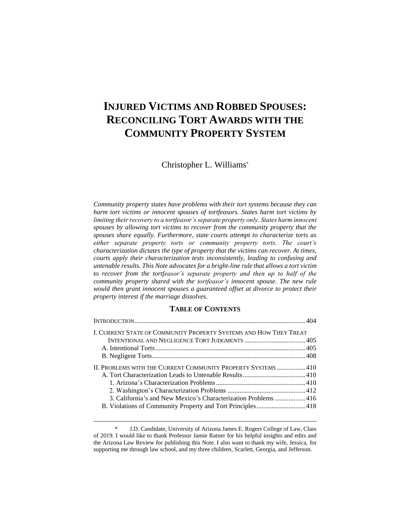# **INJURED VICTIMS AND ROBBED SPOUSES: RECONCILING TORT AWARDS WITH THE COMMUNITY PROPERTY SYSTEM**

Christopher L. Williams\*

*Community property states have problems with their tort systems because they can harm tort victims or innocent spouses of tortfeasors. States harm tort victims by limiting their recovery to a tortfeasor's separate property only. States harm innocent spouses by allowing tort victims to recover from the community property that the spouses share equally. Furthermore, state courts attempt to characterize torts as either separate property torts or community property torts. The court's characterization dictates the type of property that the victims can recover. At times, courts apply their characterization tests inconsistently, leading to confusing and untenable results. This Note advocates for a bright-line rule that allows a tort victim to recover from the tortfeasor's separate property and then up to half of the community property shared with the tortfeasor's innocent spouse. The new rule would then grant innocent spouses a guaranteed offset at divorce to protect their property interest if the marriage dissolves.*

# **TABLE OF CONTENTS**

| I. CURRENT STATE OF COMMUNITY PROPERTY SYSTEMS AND HOW THEY TREAT                                                             |  |
|-------------------------------------------------------------------------------------------------------------------------------|--|
|                                                                                                                               |  |
|                                                                                                                               |  |
|                                                                                                                               |  |
| II. Problems with the Current Community Property Systems  410                                                                 |  |
|                                                                                                                               |  |
| 3. California's and New Mexico's Characterization Problems 416<br>B. Violations of Community Property and Tort Principles 418 |  |

<sup>\*</sup> J.D. Candidate, University of Arizona James E. Rogers College of Law, Class of 2019. I would like to thank Professor Jamie Ratner for his helpful insights and edits and the Arizona Law Review for publishing this Note. I also want to thank my wife, Jessica, for supporting me through law school, and my three children, Scarlett, Georgia, and Jefferson.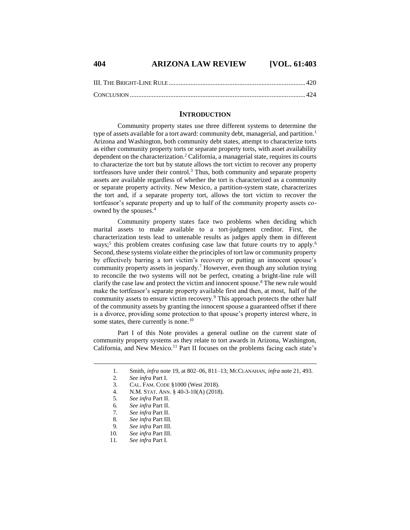# **404 ARIZONA LAW REVIEW [VOL. 61:403**

# **INTRODUCTION**

Community property states use three different systems to determine the type of assets available for a tort award: community debt, managerial, and partition.<sup>1</sup> Arizona and Washington, both community debt states, attempt to characterize torts as either community property torts or separate property torts, with asset availability dependent on the characterization.<sup>2</sup> California, a managerial state, requires its courts to characterize the tort but by statute allows the tort victim to recover any property tortfeasors have under their control.<sup>3</sup> Thus, both community and separate property assets are available regardless of whether the tort is characterized as a community or separate property activity. New Mexico, a partition-system state, characterizes the tort and, if a separate property tort, allows the tort victim to recover the tortfeasor's separate property and up to half of the community property assets coowned by the spouses.<sup>4</sup>

Community property states face two problems when deciding which marital assets to make available to a tort-judgment creditor. First, the characterization tests lead to untenable results as judges apply them in different ways;<sup>5</sup> this problem creates confusing case law that future courts try to apply.<sup>6</sup> Second, these systems violate either the principles of tort law or community property by effectively barring a tort victim's recovery or putting an innocent spouse's community property assets in jeopardy.<sup>7</sup> However, even though any solution trying to reconcile the two systems will not be perfect, creating a bright-line rule will clarify the case law and protect the victim and innocent spouse.<sup>8</sup> The new rule would make the tortfeasor's separate property available first and then, at most, half of the community assets to ensure victim recovery.<sup>9</sup> This approach protects the other half of the community assets by granting the innocent spouse a guaranteed offset if there is a divorce, providing some protection to that spouse's property interest where, in some states, there currently is none.<sup>10</sup>

Part I of this Note provides a general outline on the current state of community property systems as they relate to tort awards in Arizona, Washington, California, and New Mexico.<sup>11</sup> Part II focuses on the problems facing each state's

<sup>1.</sup> Smith, *infra* note 19, at 802–06, 811–13; MCCLANAHAN, *infra* note 21, 493.

<sup>2</sup>*. See infra* Part I.

<sup>3.</sup> CAL. FAM. CODE §1000 (West 2018).

<sup>4.</sup> N.M. STAT. ANN. § 40-3-10(A) (2018).

<sup>5</sup>*. See infra* Part II.

<sup>6</sup>*. See infra* Part II.

<sup>7</sup>*. See infra* Part II.

<sup>8.</sup> *See infra* Part III.<br>9. *See infra* Part III.

<sup>9</sup>*. See infra* Part III.

<sup>10</sup>*. See infra* Part III.

<sup>11</sup>*. See infra* Part I.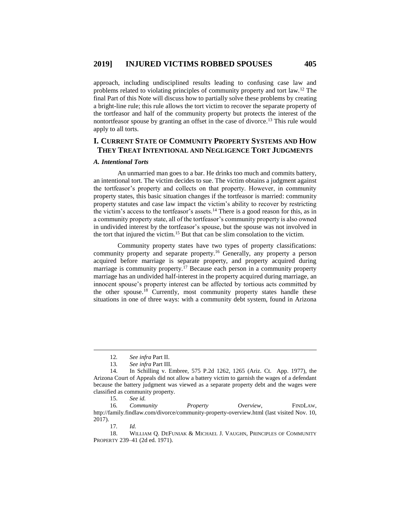approach, including undisciplined results leading to confusing case law and problems related to violating principles of community property and tort law.<sup>12</sup> The final Part of this Note will discuss how to partially solve these problems by creating a bright-line rule; this rule allows the tort victim to recover the separate property of the tortfeasor and half of the community property but protects the interest of the nontortfeasor spouse by granting an offset in the case of divorce.<sup>13</sup> This rule would apply to all torts.

# **I. CURRENT STATE OF COMMUNITY PROPERTY SYSTEMS AND HOW THEY TREAT INTENTIONAL AND NEGLIGENCE TORT JUDGMENTS**

# *A. Intentional Torts*

An unmarried man goes to a bar. He drinks too much and commits battery, an intentional tort. The victim decides to sue. The victim obtains a judgment against the tortfeasor's property and collects on that property. However, in community property states, this basic situation changes if the tortfeasor is married: community property statutes and case law impact the victim's ability to recover by restricting the victim's access to the tortfeasor's assets.<sup>14</sup> There is a good reason for this, as in a community property state, all of the tortfeasor's community property is also owned in undivided interest by the tortfeasor's spouse, but the spouse was not involved in the tort that injured the victim.<sup>15</sup> But that can be slim consolation to the victim.

Community property states have two types of property classifications: community property and separate property.<sup>16</sup> Generally, any property a person acquired before marriage is separate property, and property acquired during marriage is community property.<sup>17</sup> Because each person in a community property marriage has an undivided half-interest in the property acquired during marriage, an innocent spouse's property interest can be affected by tortious acts committed by the other spouse.<sup>18</sup> Currently, most community property states handle these situations in one of three ways: with a community debt system, found in Arizona

 $\overline{a}$ 

18. WILLIAM Q. DEFUNIAK & MICHAEL J. VAUGHN, PRINCIPLES OF COMMUNITY PROPERTY 239–41 (2d ed. 1971).

<sup>12</sup>*. See infra* Part II.

<sup>13</sup>*. See infra* Part III.

<sup>14.</sup> In Schilling v. Embree, 575 P.2d 1262, 1265 (Ariz. Ct. App. 1977), the Arizona Court of Appeals did not allow a battery victim to garnish the wages of a defendant because the battery judgment was viewed as a separate property debt and the wages were classified as community property.

<sup>15.</sup> *See id.*

<sup>16</sup>*. Community Property Overview*, FINDLAW, http://family.findlaw.com/divorce/community-property-overview.html (last visited Nov. 10, 2017).

<sup>17</sup>*. Id.*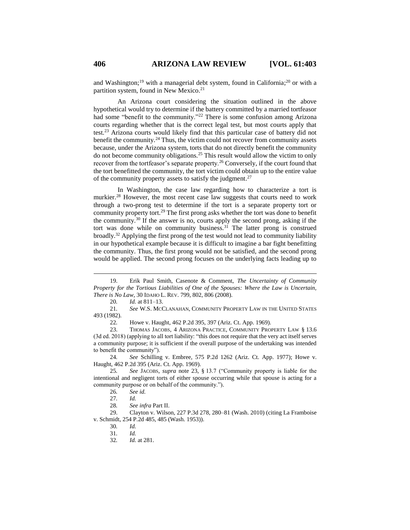and Washington;<sup>19</sup> with a managerial debt system, found in California;<sup>20</sup> or with a partition system, found in New Mexico.<sup>21</sup>

An Arizona court considering the situation outlined in the above hypothetical would try to determine if the battery committed by a married tortfeasor had some "benefit to the community."<sup>22</sup> There is some confusion among Arizona courts regarding whether that is the correct legal test, but most courts apply that test.<sup>23</sup> Arizona courts would likely find that this particular case of battery did not benefit the community.<sup>24</sup> Thus, the victim could not recover from community assets because, under the Arizona system, torts that do not directly benefit the community do not become community obligations.<sup>25</sup> This result would allow the victim to only recover from the tortfeasor's separate property.<sup>26</sup> Conversely, if the court found that the tort benefitted the community, the tort victim could obtain up to the entire value of the community property assets to satisfy the judgment.<sup>27</sup>

In Washington, the case law regarding how to characterize a tort is murkier.<sup>28</sup> However, the most recent case law suggests that courts need to work through a two-prong test to determine if the tort is a separate property tort or community property tort.<sup>29</sup> The first prong asks whether the tort was done to benefit the community.<sup>30</sup> If the answer is no, courts apply the second prong, asking if the tort was done while on community business.<sup>31</sup> The latter prong is construed broadly.<sup>32</sup> Applying the first prong of the test would not lead to community liability in our hypothetical example because it is difficult to imagine a bar fight benefitting the community. Thus, the first prong would not be satisfied, and the second prong would be applied. The second prong focuses on the underlying facts leading up to

20*. Id.* at 811–13.

21*. See* W.S. MCCLANAHAN, COMMUNITY PROPERTY LAW IN THE UNITED STATES 493 (1982).

22*.* Howe v. Haught, 462 P.2d 395, 397 (Ariz. Ct. App. 1969).

23. THOMAS JACOBS, 4 ARIZONA PRACTICE, COMMUNITY PROPERTY LAW § 13.6 (3d ed. 2018) (applying to all tort liability: "this does not require that the very act itself serves a community purpose; it is sufficient if the overall purpose of the undertaking was intended to benefit the community").

24*. See* Schilling v. Embree, 575 P.2d 1262 (Ariz. Ct. App. 1977); Howe v. Haught, 462 P.2d 395 (Ariz. Ct. App. 1969).

32*. Id.* at 281.

<sup>19.</sup> Erik Paul Smith, Casenote & Comment, *The Uncertainty of Community Property for the Tortious Liabilities of One of the Spouses: Where the Law is Uncertain, There is No Law*, 30 IDAHO L. REV. 799, 802, 806 (2008).

<sup>25</sup>*. See* JACOBS, *supra* note 23, § 13.7 ("Community property is liable for the intentional and negligent torts of either spouse occurring while that spouse is acting for a community purpose or on behalf of the community.").

<sup>26</sup>*. See id.*

<sup>27</sup>*. Id.*

<sup>28</sup>*. See infra* Part II.

<sup>29.</sup> Clayton v. Wilson, 227 P.3d 278, 280–81 (Wash. 2010) (citing La Framboise v. Schmidt, 254 P.2d 485, 485 (Wash. 1953)).

<sup>30</sup>*. Id.*

<sup>31</sup>*. Id.*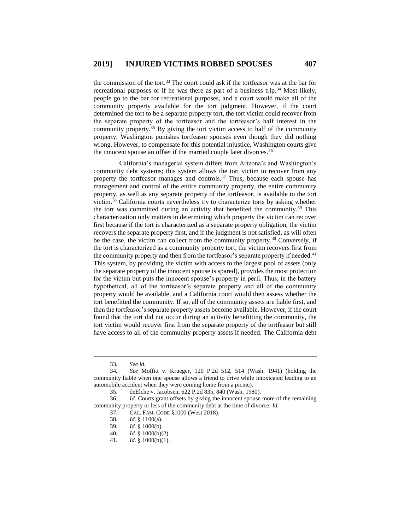the commission of the tort.<sup>33</sup> The court could ask if the tortfeasor was at the bar for recreational purposes or if he was there as part of a business trip.<sup>34</sup> Most likely, people go to the bar for recreational purposes, and a court would make all of the community property available for the tort judgment. However, if the court determined the tort to be a separate property tort, the tort victim could recover from the separate property of the tortfeasor and the tortfeasor's half interest in the community property.<sup>35</sup> By giving the tort victim access to half of the community property, Washington punishes tortfeasor spouses even though they did nothing wrong. However, to compensate for this potential injustice, Washington courts give the innocent spouse an offset if the married couple later divorces.<sup>36</sup>

California's managerial system differs from Arizona's and Washington's community debt systems; this system allows the tort victim to recover from any property the tortfeasor manages and controls. $37$  Thus, because each spouse has management and control of the entire community property, the entire community property, as well as any separate property of the tortfeasor, is available to the tort victim. <sup>38</sup> California courts nevertheless try to characterize torts by asking whether the tort was committed during an activity that benefited the community.<sup>39</sup> This characterization only matters in determining which property the victim can recover first because if the tort is characterized as a separate property obligation, the victim recovers the separate property first, and if the judgment is not satisfied, as will often be the case, the victim can collect from the community property.<sup>40</sup> Conversely, if the tort is characterized as a community property tort, the victim recovers first from the community property and then from the tortfeasor's separate property if needed.<sup>41</sup> This system, by providing the victim with access to the largest pool of assets (only the separate property of the innocent spouse is spared), provides the most protection for the victim but puts the innocent spouse's property in peril. Thus, in the battery hypothetical, all of the tortfeasor's separate property and all of the community property would be available, and a California court would then assess whether the tort benefitted the community. If so, all of the community assets are liable first, and then the tortfeasor's separate property assets become available. However, if the court found that the tort did not occur during an activity benefitting the community, the tort victim would recover first from the separate property of the tortfeasor but still have access to all of the community property assets if needed. The California debt

 $\overline{a}$ 

38*. Id.* § 1100(a).

<sup>33</sup>*. See id.*

<sup>34</sup>*. See* Moffitt v. Krueger, 120 P.2d 512, 514 (Wash. 1941) (holding the community liable when one spouse allows a friend to drive while intoxicated leading to an automobile accident when they were coming home from a picnic).

<sup>35.</sup> deElche v. Jacobsen, 622 P.2d 835, 840 (Wash. 1980).

<sup>36</sup>*. Id.* Courts grant offsets by giving the innocent spouse more of the remaining community property or less of the community debt at the time of divorce. *Id.*

<sup>37.</sup> CAL. FAM. CODE §1000 (West 2018).

<sup>39</sup>*. Id.* § 1000(b).

<sup>40</sup>*. Id.* § 1000(b)(2).

<sup>41</sup>*. Id.* § 1000(b)(1).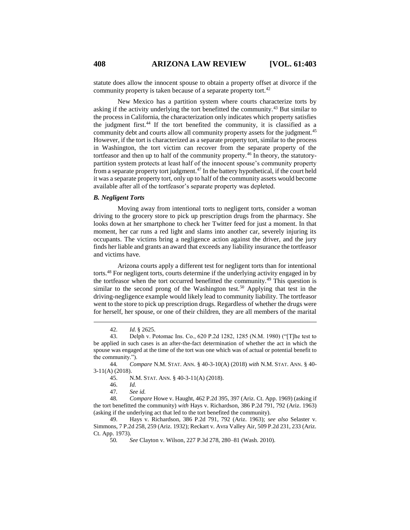statute does allow the innocent spouse to obtain a property offset at divorce if the community property is taken because of a separate property tort.<sup>42</sup>

New Mexico has a partition system where courts characterize torts by asking if the activity underlying the tort benefitted the community.<sup>43</sup> But similar to the process in California, the characterization only indicates which property satisfies the judgment first.<sup>44</sup> If the tort benefited the community, it is classified as a community debt and courts allow all community property assets for the judgment.<sup>45</sup> However, if the tort is characterized as a separate property tort, similar to the process in Washington, the tort victim can recover from the separate property of the tortfeasor and then up to half of the community property.<sup>46</sup> In theory, the statutorypartition system protects at least half of the innocent spouse's community property from a separate property tort judgment.<sup>47</sup> In the battery hypothetical, if the court held it was a separate property tort, only up to half of the community assets would become available after all of the tortfeasor's separate property was depleted.

#### *B. Negligent Torts*

Moving away from intentional torts to negligent torts, consider a woman driving to the grocery store to pick up prescription drugs from the pharmacy. She looks down at her smartphone to check her Twitter feed for just a moment. In that moment, her car runs a red light and slams into another car, severely injuring its occupants. The victims bring a negligence action against the driver, and the jury finds her liable and grants an award that exceeds any liability insurance the tortfeasor and victims have.

Arizona courts apply a different test for negligent torts than for intentional torts.<sup>48</sup> For negligent torts, courts determine if the underlying activity engaged in by the tortfeasor when the tort occurred benefitted the community.<sup>49</sup> This question is similar to the second prong of the Washington test.<sup>50</sup> Applying that test in the driving-negligence example would likely lead to community liability. The tortfeasor went to the store to pick up prescription drugs. Regardless of whether the drugs were for herself, her spouse, or one of their children, they are all members of the marital

 $\overline{a}$ 

47*. See id.*

48*. Compare* Howe v. Haught, 462 P.2d 395, 397 (Ariz. Ct. App. 1969) (asking if the tort benefitted the community) *with* Hays v. Richardson, 386 P.2d 791, 792 (Ariz. 1963) (asking if the underlying act that led to the tort benefited the community).

49. Hays v. Richardson, 386 P.2d 791, 792 (Ariz. 1963); *see also* Selaster v. Simmons, 7 P.2d 258, 259 (Ariz. 1932); Reckart v. Avra Valley Air, 509 P.2d 231, 233 (Ariz. Ct. App. 1973).

<sup>42.</sup> *Id.* § 2625.

<sup>43.</sup> Delph v. Potomac Ins. Co., 620 P.2d 1282, 1285 (N.M. 1980) ("[T]he test to be applied in such cases is an after-the-fact determination of whether the act in which the spouse was engaged at the time of the tort was one which was of actual or potential benefit to the community.").

<sup>44</sup>*. Compare* N.M. STAT. ANN. § 40-3-10(A) (2018) *with* N.M. STAT. ANN. § 40- 3-11(A) (2018).

<sup>45.</sup> N.M. STAT. ANN. § 40-3-11(A) (2018).

<sup>46.</sup> *Id.*

<sup>50</sup>*. See* Clayton v. Wilson, 227 P.3d 278, 280–81 (Wash. 2010).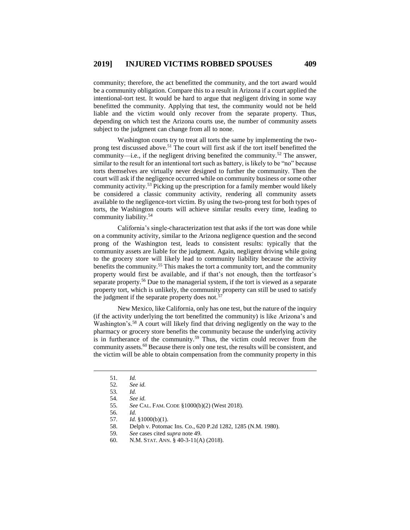community; therefore, the act benefitted the community, and the tort award would be a community obligation. Compare this to a result in Arizona if a court applied the intentional-tort test. It would be hard to argue that negligent driving in some way benefitted the community. Applying that test, the community would not be held liable and the victim would only recover from the separate property. Thus, depending on which test the Arizona courts use, the number of community assets subject to the judgment can change from all to none.

Washington courts try to treat all torts the same by implementing the twoprong test discussed above.<sup>51</sup> The court will first ask if the tort itself benefitted the community—i.e., if the negligent driving benefited the community.<sup>52</sup> The answer, similar to the result for an intentional tort such as battery, is likely to be "no" because torts themselves are virtually never designed to further the community. Then the court will ask if the negligence occurred while on community business or some other community activity.<sup>53</sup> Picking up the prescription for a family member would likely be considered a classic community activity, rendering all community assets available to the negligence-tort victim. By using the two-prong test for both types of torts, the Washington courts will achieve similar results every time, leading to community liability.<sup>54</sup>

California's single-characterization test that asks if the tort was done while on a community activity, similar to the Arizona negligence question and the second prong of the Washington test, leads to consistent results: typically that the community assets are liable for the judgment. Again, negligent driving while going to the grocery store will likely lead to community liability because the activity benefits the community.<sup>55</sup> This makes the tort a community tort, and the community property would first be available, and if that's not enough, then the tortfeasor's separate property.<sup>56</sup> Due to the managerial system, if the tort is viewed as a separate property tort, which is unlikely, the community property can still be used to satisfy the judgment if the separate property does not.<sup>5</sup>

New Mexico, like California, only has one test, but the nature of the inquiry (if the activity underlying the tort benefitted the community) is like Arizona's and Washington's.<sup>58</sup> A court will likely find that driving negligently on the way to the pharmacy or grocery store benefits the community because the underlying activity is in furtherance of the community.<sup>59</sup> Thus, the victim could recover from the community assets.<sup>60</sup> Because there is only one test, the results will be consistent, and the victim will be able to obtain compensation from the community property in this

<sup>51</sup>*. Id.*

<sup>52</sup>*. See id.*

<sup>53</sup>*. Id.*

<sup>54</sup>*. See id.*

<sup>55</sup>*. See* CAL. FAM. CODE §1000(b)(2) (West 2018).

<sup>56</sup>*. Id.*

<sup>57</sup>*. Id.* §1000(b)(1).

<sup>58.</sup> Delph v. Potomac Ins. Co., 620 P.2d 1282, 1285 (N.M. 1980).

<sup>59</sup>*. See* cases cited *supra* note 49.

<sup>60.</sup> N.M. STAT. ANN. § 40-3-11(A) (2018).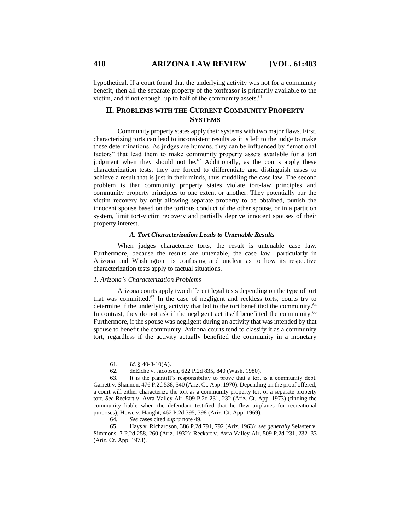hypothetical. If a court found that the underlying activity was not for a community benefit, then all the separate property of the tortfeasor is primarily available to the victim, and if not enough, up to half of the community assets. $61$ 

# **II. PROBLEMS WITH THE CURRENT COMMUNITY PROPERTY SYSTEMS**

Community property states apply their systems with two major flaws. First, characterizing torts can lead to inconsistent results as it is left to the judge to make these determinations. As judges are humans, they can be influenced by "emotional factors" that lead them to make community property assets available for a tort judgment when they should not be.<sup>62</sup> Additionally, as the courts apply these characterization tests, they are forced to differentiate and distinguish cases to achieve a result that is just in their minds, thus muddling the case law. The second problem is that community property states violate tort-law principles and community property principles to one extent or another. They potentially bar the victim recovery by only allowing separate property to be obtained, punish the innocent spouse based on the tortious conduct of the other spouse, or in a partition system, limit tort-victim recovery and partially deprive innocent spouses of their property interest.

#### *A. Tort Characterization Leads to Untenable Results*

When judges characterize torts, the result is untenable case law. Furthermore, because the results are untenable, the case law—particularly in Arizona and Washington—is confusing and unclear as to how its respective characterization tests apply to factual situations.

# *1. Arizona's Characterization Problems*

Arizona courts apply two different legal tests depending on the type of tort that was committed.<sup>63</sup> In the case of negligent and reckless torts, courts try to determine if the underlying activity that led to the tort benefitted the community.<sup>64</sup> In contrast, they do not ask if the negligent act itself benefitted the community.<sup>65</sup> Furthermore, if the spouse was negligent during an activity that was intended by that spouse to benefit the community, Arizona courts tend to classify it as a community tort, regardless if the activity actually benefited the community in a monetary

<sup>61.</sup> *Id.* § 40-3-10(A).

<sup>62.</sup> deElche v. Jacobsen, 622 P.2d 835, 840 (Wash. 1980).

<sup>63.</sup> It is the plaintiff's responsibility to prove that a tort is a community debt. Garrett v. Shannon, 476 P.2d 538, 540 (Ariz. Ct. App. 1970). Depending on the proof offered, a court will either characterize the tort as a community property tort or a separate property tort. *See* Reckart v. Avra Valley Air, 509 P.2d 231, 232 (Ariz. Ct. App. 1973) (finding the community liable when the defendant testified that he flew airplanes for recreational purposes); Howe v. Haught, 462 P.2d 395, 398 (Ariz. Ct. App. 1969).

<sup>64</sup>*. See* cases cited *supra* note 49.

<sup>65.</sup> Hays v. Richardson, 386 P.2d 791, 792 (Ariz. 1963); *see generally* Selaster v. Simmons, 7 P.2d 258, 260 (Ariz. 1932); Reckart v. Avra Valley Air, 509 P.2d 231, 232–33 (Ariz. Ct. App. 1973).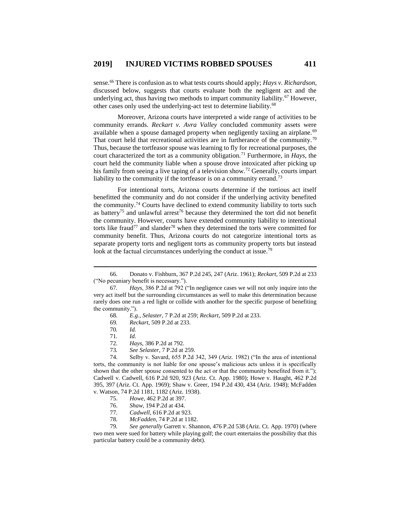sense.<sup>66</sup> There is confusion as to what tests courts should apply; *Hays v. Richardson*, discussed below, suggests that courts evaluate both the negligent act and the underlying act, thus having two methods to impart community liability.<sup>67</sup> However, other cases only used the underlying-act test to determine liability.<sup>68</sup>

Moreover, Arizona courts have interpreted a wide range of activities to be community errands. *Reckart v. Avra Valley* concluded community assets were available when a spouse damaged property when negligently taxiing an airplane.<sup>69</sup> That court held that recreational activities are in furtherance of the community.<sup>70</sup> Thus, because the tortfeasor spouse was learning to fly for recreational purposes, the court characterized the tort as a community obligation.<sup>71</sup> Furthermore, in *Hays*, the court held the community liable when a spouse drove intoxicated after picking up his family from seeing a live taping of a television show.<sup>72</sup> Generally, courts impart liability to the community if the tortfeasor is on a community errand.<sup>73</sup>

For intentional torts, Arizona courts determine if the tortious act itself benefitted the community and do not consider if the underlying activity benefited the community.<sup>74</sup> Courts have declined to extend community liability to torts such as battery<sup>75</sup> and unlawful arrest<sup>76</sup> because they determined the tort did not benefit the community. However, courts have extended community liability to intentional torts like fraud<sup>77</sup> and slander<sup>78</sup> when they determined the torts were committed for community benefit. Thus, Arizona courts do not categorize intentional torts as separate property torts and negligent torts as community property torts but instead look at the factual circumstances underlying the conduct at issue.<sup>79</sup>

 $\overline{a}$ 

73*. See Selaster*, 7 P.2d at 259.

74. Selby v. Savard, 655 P.2d 342, 349 (Ariz. 1982) ("In the area of intentional torts, the community is not liable for one spouse's malicious acts unless it is specifically shown that the other spouse consented to the act or that the community benefited from it."); Cadwell v. Cadwell, 616 P.2d 920, 923 (Ariz. Ct. App. 1980); Howe v. Haught, 462 P.2d 395, 397 (Ariz. Ct. App. 1969); Shaw v. Greer, 194 P.2d 430, 434 (Ariz. 1948); McFadden v. Watson, 74 P.2d 1181, 1182 (Ariz. 1938).

- 75. *Howe*, 462 P.2d at 397.
- 76. *Shaw*, 194 P.2d at 434.
- 77. *Cadwell*, 616 P.2d at 923.
- 78. *McFadden*, 74 P.2d at 1182.

79*. See generally* Garrett v. Shannon, 476 P.2d 538 (Ariz. Ct. App. 1970) (where two men were sued for battery while playing golf; the court entertains the possibility that this particular battery could be a community debt).

<sup>66.</sup> Donato v. Fishburn, 367 P.2d 245, 247 (Ariz. 1961); *Reckart*, 509 P.2d at 233 ("No pecuniary benefit is necessary.").

<sup>67</sup>*. Hays*, 386 P.2d at 792 ("In negligence cases we will not only inquire into the very act itself but the surrounding circumstances as well to make this determination because rarely does one run a red light or collide with another for the specific purpose of benefiting the community.").

<sup>68</sup>*. E.g.*, *Selaster*, 7 P.2d at 259; *Reckart*, 509 P.2d at 233.

<sup>69</sup>*. Reckart*, 509 P.2d at 233.

<sup>70</sup>*. Id.*

<sup>71</sup>*. Id.*

<sup>72</sup>*. Hays*, 386 P.2d at 792.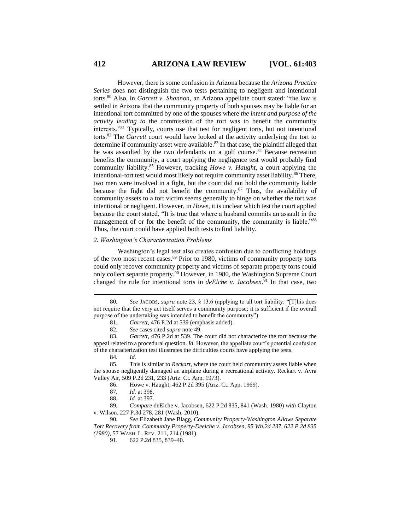However, there is some confusion in Arizona because the *Arizona Practice Series* does not distinguish the two tests pertaining to negligent and intentional torts.<sup>80</sup> Also, in *Garrett v. Shannon*, an Arizona appellate court stated: "the law is settled in Arizona that the community property of both spouses may be liable for an intentional tort committed by one of the spouses where *the intent and purpose of the activity leading to* the commission of the tort was to benefit the community interests."<sup>81</sup> Typically, courts use that test for negligent torts, but not intentional torts.<sup>82</sup> The *Garrett* court would have looked at the activity underlying the tort to determine if community asset were available.<sup>83</sup> In that case, the plaintiff alleged that he was assaulted by the two defendants on a golf course.<sup>84</sup> Because recreation benefits the community, a court applying the negligence test would probably find community liability.<sup>85</sup> However, tracking *Howe v. Haught*, a court applying the intentional-tort test would most likely not require community asset liability.<sup>86</sup> There, two men were involved in a fight, but the court did not hold the community liable because the fight did not benefit the community.<sup>87</sup> Thus, the availability of community assets to a tort victim seems generally to hinge on whether the tort was intentional or negligent. However, in *Howe*, it is unclear which test the court applied because the court stated, "It is true that where a husband commits an assault in the management of or for the benefit of the community, the community is liable."<sup>88</sup> Thus, the court could have applied both tests to find liability.

#### *2. Washington's Characterization Problems*

Washington's legal test also creates confusion due to conflicting holdings of the two most recent cases.<sup>89</sup> Prior to 1980, victims of community property torts could only recover community property and victims of separate property torts could only collect separate property.<sup>90</sup> However, in 1980, the Washington Supreme Court changed the rule for intentional torts in *deElche v. Jacobsen*. <sup>91</sup> In that case, two

 $\overline{a}$ 

86. Howe v. Haught, 462 P.2d 395 (Ariz. Ct. App. 1969).

<sup>80</sup>*. See* JACOBS, *supra* note 23, § 13.6 (applying to all tort liability: "[T]his does not require that the very act itself serves a community purpose; it is sufficient if the overall purpose of the undertaking was intended to benefit the community").

<sup>81</sup>*. Garrett*, 476 P.2d at 539 (emphasis added).

<sup>82</sup>*. See* cases cited *supra* note 49.

<sup>83.</sup> *Garrett*, 476 P.2d at 539. The court did not characterize the tort because the appeal related to a procedural question. *Id.* However, the appellate court's potential confusion of the characterization test illustrates the difficulties courts have applying the tests.

<sup>84</sup>*. Id.*

<sup>85.</sup> This is similar to *Reckart*, where the court held community assets liable when the spouse negligently damaged an airplane during a recreational activity. Reckart v. Avra Valley Air, 509 P.2d 231, 233 (Ariz. Ct. App. 1973).

<sup>87</sup>*. Id.* at 398.

<sup>88</sup>*. Id.* at 397.

<sup>89</sup>*. Compare* deElche v. Jacobsen, 622 P.2d 835, 841 (Wash. 1980) *with* Clayton v. Wilson, 227 P.3d 278, 281 (Wash. 2010).

<sup>90</sup>*. See* Elizabeth Jane Blagg, *Community Property-Washington Allows Separate Tort Recovery from Community Property-Deelche v. Jacobsen, 95 Wn.2d 237, 622 P.2d 835 (1980)*, 57 WASH. L. REV. 211, 214 (1981).

<sup>91.</sup> 622 P.2d 835, 839–40.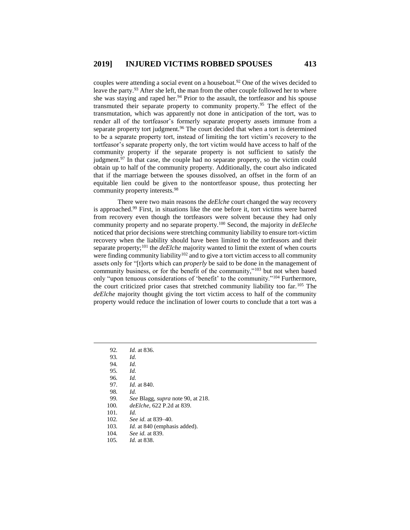couples were attending a social event on a houseboat.<sup>92</sup> One of the wives decided to leave the party.<sup>93</sup> After she left, the man from the other couple followed her to where she was staying and raped her.<sup>94</sup> Prior to the assault, the tortfeasor and his spouse transmuted their separate property to community property.<sup>95</sup> The effect of the transmutation, which was apparently not done in anticipation of the tort, was to render all of the tortfeasor's formerly separate property assets immune from a separate property tort judgment.<sup>96</sup> The court decided that when a tort is determined to be a separate property tort, instead of limiting the tort victim's recovery to the tortfeasor's separate property only, the tort victim would have access to half of the community property if the separate property is not sufficient to satisfy the judgment. $97$  In that case, the couple had no separate property, so the victim could obtain up to half of the community property. Additionally, the court also indicated that if the marriage between the spouses dissolved, an offset in the form of an equitable lien could be given to the nontortfeasor spouse, thus protecting her community property interests.<sup>98</sup>

There were two main reasons the *deElche* court changed the way recovery is approached.<sup>99</sup> First, in situations like the one before it, tort victims were barred from recovery even though the tortfeasors were solvent because they had only community property and no separate property.<sup>100</sup> Second, the majority in *deEleche* noticed that prior decisions were stretching community liability to ensure tort-victim recovery when the liability should have been limited to the tortfeasors and their separate property;<sup>101</sup> the *deElche* majority wanted to limit the extent of when courts were finding community liability<sup>102</sup> and to give a tort victim access to all community assets only for "[t]orts which can *properly* be said to be done in the management of community business, or for the benefit of the community,"<sup>103</sup> but not when based only "upon tenuous considerations of 'benefit' to the community."<sup>104</sup> Furthermore, the court criticized prior cases that stretched community liability too far.<sup>105</sup> The *deElche* majority thought giving the tort victim access to half of the community property would reduce the inclination of lower courts to conclude that a tort was a

- 99*. See* Blagg, *supra* note 90, at 218.
- 100*. deElche*, 622 P.2d at 839.
- 101*. Id.*
- 102*. See id.* at 839–40.
- 103*. Id.* at 840 (emphasis added).
- 104*. See id.* at 839.
- 105*. Id.* at 838.

<sup>92</sup>*. Id.* at 836.

<sup>93</sup>*. Id.*

<sup>94</sup>*. Id.* 95*. Id.*

<sup>96</sup>*. Id.* 97*. Id.* at 840.

<sup>98</sup>*. Id.*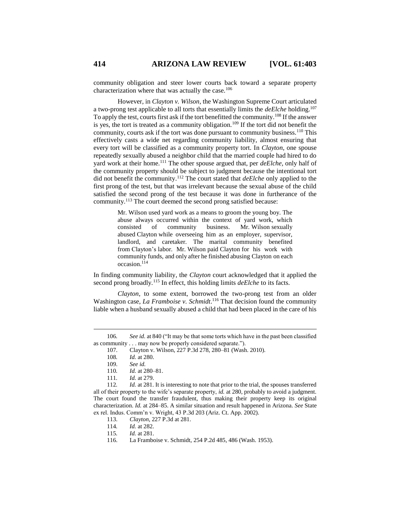community obligation and steer lower courts back toward a separate property characterization where that was actually the case.<sup>106</sup>

However, in *Clayton v. Wilson*, the Washington Supreme Court articulated a two-prong test applicable to all torts that essentially limits the *deElche* holding.<sup>107</sup> To apply the test, courts first ask if the tort benefitted the community.<sup>108</sup> If the answer is yes, the tort is treated as a community obligation.<sup>109</sup> If the tort did not benefit the community, courts ask if the tort was done pursuant to community business.<sup>110</sup> This effectively casts a wide net regarding community liability, almost ensuring that every tort will be classified as a community property tort. In *Clayton*, one spouse repeatedly sexually abused a neighbor child that the married couple had hired to do yard work at their home.<sup>111</sup> The other spouse argued that, per *deElche*, only half of the community property should be subject to judgment because the intentional tort did not benefit the community.<sup>112</sup> The court stated that *deElche* only applied to the first prong of the test, but that was irrelevant because the sexual abuse of the child satisfied the second prong of the test because it was done in furtherance of the community.<sup>113</sup> The court deemed the second prong satisfied because:

> Mr. Wilson used yard work as a means to groom the young boy. The abuse always occurred within the context of yard work, which consisted of community business. Mr. Wilson sexually abused Clayton while overseeing him as an employer, supervisor, landlord, and caretaker. The marital community benefited from Clayton's labor. Mr. Wilson paid Clayton for his work with community funds, and only after he finished abusing Clayton on each occasion.<sup>114</sup>

In finding community liability, the *Clayton* court acknowledged that it applied the second prong broadly.<sup>115</sup> In effect, this holding limits *deElche* to its facts.

*Clayton*, to some extent, borrowed the two-prong test from an older Washington case, *La Framboise v. Schmidt*.<sup>116</sup> That decision found the community liable when a husband sexually abused a child that had been placed in the care of his

 $\overline{a}$ 

114*. Id.* at 282.

<sup>106</sup>*. See id.* at 840 ("It may be that some torts which have in the past been classified as community . . . may now be properly considered separate.").

<sup>107.</sup> Clayton v. Wilson, 227 P.3d 278, 280–81 (Wash. 2010).

<sup>108</sup>*. Id.* at 280.

<sup>109.</sup> *See id.*

<sup>110</sup>*. Id.* at 280–81.

<sup>111</sup>*. Id.* at 279.

<sup>112</sup>*. Id.* at 281. It is interesting to note that prior to the trial, the spouses transferred all of their property to the wife's separate property, *id.* at 280, probably to avoid a judgment. The court found the transfer fraudulent, thus making their property keep its original characterization. *Id.* at 284–85. A similar situation and result happened in Arizona. *See* State ex rel. Indus. Comm'n v. Wright, 43 P.3d 203 (Ariz. Ct. App. 2002).

<sup>113.</sup> *Clayton*, 227 P.3d at 281.

<sup>115</sup>*. Id.* at 281.

<sup>116.</sup> La Framboise v. Schmidt, 254 P.2d 485, 486 (Wash. 1953).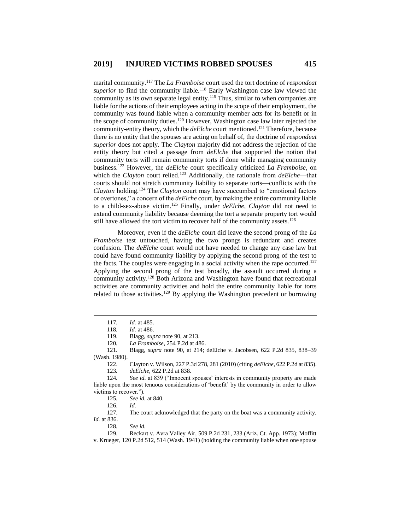marital community.<sup>117</sup> The *La Framboise* court used the tort doctrine of *respondeat superior* to find the community liable.<sup>118</sup> Early Washington case law viewed the community as its own separate legal entity.<sup>119</sup> Thus, similar to when companies are liable for the actions of their employees acting in the scope of their employment, the community was found liable when a community member acts for its benefit or in the scope of community duties.<sup>120</sup> However, Washington case law later rejected the community-entity theory, which the *deElche* court mentioned.<sup>121</sup> Therefore, because there is no entity that the spouses are acting on behalf of, the doctrine of *respondeat superior* does not apply. The *Clayton* majority did not address the rejection of the entity theory but cited a passage from *deElche* that supported the notion that community torts will remain community torts if done while managing community business.<sup>122</sup> However, the *deElche* court specifically criticized *La Framboise*, on which the *Clayton* court relied.<sup>123</sup> Additionally, the rationale from *deElche*—that courts should not stretch community liability to separate torts—conflicts with the *Clayton* holding.<sup>124</sup> The *Clayton* court may have succumbed to "emotional factors or overtones," a concern of the *deElche* court, by making the entire community liable to a child-sex-abuse victim.<sup>125</sup> Finally, under *deElche*, *Clayton* did not need to extend community liability because deeming the tort a separate property tort would still have allowed the tort victim to recover half of the community assets.<sup>126</sup>

Moreover, even if the *deElche* court did leave the second prong of the *La Framboise* test untouched, having the two prongs is redundant and creates confusion. The *deElche* court would not have needed to change any case law but could have found community liability by applying the second prong of the test to the facts. The couples were engaging in a social activity when the rape occurred.<sup>127</sup> Applying the second prong of the test broadly, the assault occurred during a community activity.<sup>128</sup> Both Arizona and Washington have found that recreational activities are community activities and hold the entire community liable for torts related to those activities.<sup>129</sup> By applying the Washington precedent or borrowing

 $\overline{a}$ 

121*.* Blagg, *supra* note 90, at 214; deElche v. Jacobsen, 622 P.2d 835, 838–39 (Wash. 1980).

122. Clayton v. Wilson, 227 P.3d 278, 281 (2010) (citing *deElche*, 622 P.2d at 835). 123*. deElche*, 622 P.2d at 838.

124*. See id.* at 839 ("Innocent spouses' interests in community property are made liable upon the most tenuous considerations of 'benefit' by the community in order to allow victims to recover.").

125*. See id.* at 840.

126. *Id.*

127. The court acknowledged that the party on the boat was a community activity. *Id.* at 836.

128*. See id.*

129. Reckart v. Avra Valley Air, 509 P.2d 231, 233 (Ariz. Ct. App. 1973); Moffitt v. Krueger, 120 P.2d 512, 514 (Wash. 1941) (holding the community liable when one spouse

<sup>117</sup>*. Id.* at 485.

<sup>118</sup>*. Id.* at 486.

<sup>119.</sup> Blagg, *supra* note 90, at 213.

<sup>120</sup>*. La Framboise*, 254 P.2d at 486.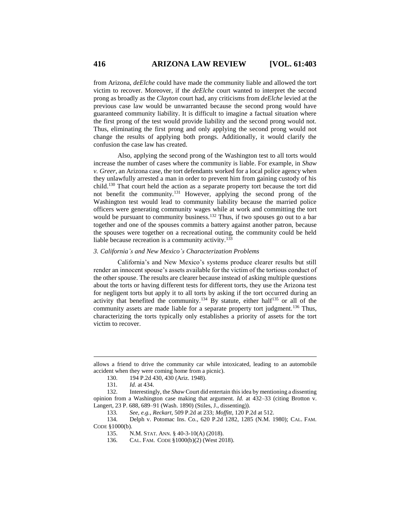from Arizona, *deElche* could have made the community liable and allowed the tort victim to recover. Moreover, if the *deElche* court wanted to interpret the second prong as broadly as the *Clayton* court had, any criticisms from *deElche* levied at the previous case law would be unwarranted because the second prong would have guaranteed community liability. It is difficult to imagine a factual situation where the first prong of the test would provide liability and the second prong would not. Thus, eliminating the first prong and only applying the second prong would not change the results of applying both prongs. Additionally, it would clarify the confusion the case law has created.

Also, applying the second prong of the Washington test to all torts would increase the number of cases where the community is liable. For example, in *Shaw v. Greer*, an Arizona case, the tort defendants worked for a local police agency when they unlawfully arrested a man in order to prevent him from gaining custody of his child.<sup>130</sup> That court held the action as a separate property tort because the tort did not benefit the community.<sup>131</sup> However, applying the second prong of the Washington test would lead to community liability because the married police officers were generating community wages while at work and committing the tort would be pursuant to community business.<sup>132</sup> Thus, if two spouses go out to a bar together and one of the spouses commits a battery against another patron, because the spouses were together on a recreational outing, the community could be held liable because recreation is a community activity.<sup>133</sup>

## *3. California's and New Mexico's Characterization Problems*

California's and New Mexico's systems produce clearer results but still render an innocent spouse's assets available for the victim of the tortious conduct of the other spouse. The results are clearer because instead of asking multiple questions about the torts or having different tests for different torts, they use the Arizona test for negligent torts but apply it to all torts by asking if the tort occurred during an activity that benefited the community.<sup>134</sup> By statute, either half<sup>135</sup> or all of the community assets are made liable for a separate property tort judgment.<sup>136</sup> Thus, characterizing the torts typically only establishes a priority of assets for the tort victim to recover.

allows a friend to drive the community car while intoxicated, leading to an automobile accident when they were coming home from a picnic).

<sup>130.</sup> 194 P.2d 430, 430 (Ariz. 1948).

<sup>131</sup>*. Id.* at 434.

<sup>132.</sup> Interestingly, the *Shaw* Court did entertain this idea by mentioning a dissenting opinion from a Washington case making that argument. *Id.* at 432–33 (citing Brotton v. Langert, 23 P. 688, 689–91 (Wash. 1890) (Stiles, J., dissenting)).

<sup>133</sup>*. See, e.g.*, *Reckart*, 509 P.2d at 233; *Moffitt*, 120 P.2d at 512.

<sup>134.</sup> Delph v. Potomac Ins. Co*.*, 620 P.2d 1282, 1285 (N.M. 1980); CAL. FAM. CODE §1000(b).

<sup>135.</sup> N.M. STAT. ANN. § 40-3-10(A) (2018).

<sup>136.</sup> CAL. FAM. CODE §1000(b)(2) (West 2018).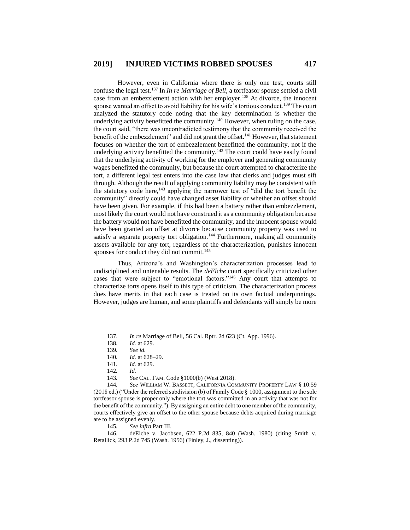However, even in California where there is only one test, courts still confuse the legal test.<sup>137</sup> In *In re Marriage of Bell*, a tortfeasor spouse settled a civil case from an embezzlement action with her employer.<sup>138</sup> At divorce, the innocent spouse wanted an offset to avoid liability for his wife's tortious conduct.<sup>139</sup> The court analyzed the statutory code noting that the key determination is whether the underlying activity benefitted the community.<sup>140</sup> However, when ruling on the case, the court said, "there was uncontradicted testimony that the community received the benefit of the embezzlement" and did not grant the offset.<sup>141</sup> However, that statement focuses on whether the tort of embezzlement benefitted the community, not if the underlying activity benefitted the community.<sup>142</sup> The court could have easily found that the underlying activity of working for the employer and generating community wages benefitted the community, but because the court attempted to characterize the tort, a different legal test enters into the case law that clerks and judges must sift through. Although the result of applying community liability may be consistent with the statutory code here, $143$  applying the narrower test of "did the tort benefit the community" directly could have changed asset liability or whether an offset should have been given. For example, if this had been a battery rather than embezzlement, most likely the court would not have construed it as a community obligation because the battery would not have benefitted the community, and the innocent spouse would have been granted an offset at divorce because community property was used to satisfy a separate property tort obligation.<sup>144</sup> Furthermore, making all community assets available for any tort, regardless of the characterization, punishes innocent spouses for conduct they did not commit.<sup>145</sup>

Thus, Arizona's and Washington's characterization processes lead to undisciplined and untenable results. The *deElche* court specifically criticized other cases that were subject to "emotional factors."<sup>146</sup> Any court that attempts to characterize torts opens itself to this type of criticism. The characterization process does have merits in that each case is treated on its own factual underpinnings. However, judges are human, and some plaintiffs and defendants will simply be more

 $\overline{a}$ 

143*. See* CAL. FAM. Code §1000(b) (West 2018).

144*. See* WILLIAM W. BASSETT, CALIFORNIA COMMUNITY PROPERTY LAW § 10:59 (2018 ed.) ("Under the referred subdivision (b) of Family Code § 1000, assignment to the sole tortfeasor spouse is proper only where the tort was committed in an activity that was not for the benefit of the community."). By assigning an entire debt to one member of the community, courts effectively give an offset to the other spouse because debts acquired during marriage are to be assigned evenly.<br>145. See infra P

145*. See infra* Part III.

146. deElche v. Jacobsen, 622 P.2d 835, 840 (Wash. 1980) (citing Smith v. Retallick, 293 P.2d 745 (Wash. 1956) (Finley, J., dissenting)).

<sup>137.</sup> *In re* Marriage of Bell, 56 Cal. Rptr. 2d 623 (Ct. App. 1996).

<sup>138</sup>*. Id.* at 629.

<sup>139</sup>*. See id.*

<sup>140</sup>*. Id.* at 628–29.

<sup>141</sup>*. Id.* at 629.

<sup>142</sup>*. Id.*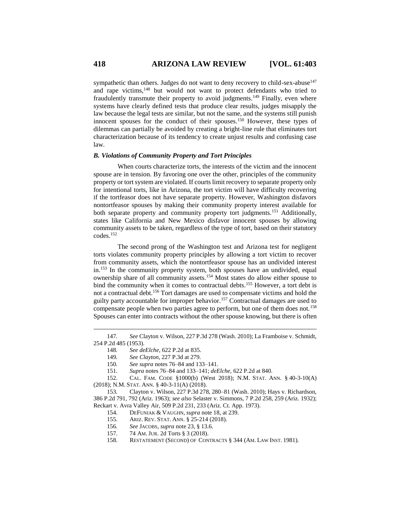sympathetic than others. Judges do not want to deny recovery to child-sex-abuse<sup>147</sup> and rape victims,<sup>148</sup> but would not want to protect defendants who tried to fraudulently transmute their property to avoid judgments.<sup>149</sup> Finally, even where systems have clearly defined tests that produce clear results, judges misapply the law because the legal tests are similar, but not the same, and the systems still punish innocent spouses for the conduct of their spouses.<sup>150</sup> However, these types of dilemmas can partially be avoided by creating a bright-line rule that eliminates tort characterization because of its tendency to create unjust results and confusing case law.

#### *B. Violations of Community Property and Tort Principles*

When courts characterize torts, the interests of the victim and the innocent spouse are in tension. By favoring one over the other, principles of the community property or tort system are violated. If courts limit recovery to separate property only for intentional torts, like in Arizona, the tort victim will have difficulty recovering if the tortfeasor does not have separate property. However, Washington disfavors nontortfeasor spouses by making their community property interest available for both separate property and community property tort judgments.<sup>151</sup> Additionally, states like California and New Mexico disfavor innocent spouses by allowing community assets to be taken, regardless of the type of tort, based on their statutory codes.<sup>152</sup>

The second prong of the Washington test and Arizona test for negligent torts violates community property principles by allowing a tort victim to recover from community assets, which the nontortfeasor spouse has an undivided interest in.<sup>153</sup> In the community property system, both spouses have an undivided, equal ownership share of all community assets.<sup>154</sup> Most states do allow either spouse to bind the community when it comes to contractual debts.<sup>155</sup> However, a tort debt is not a contractual debt.<sup>156</sup> Tort damages are used to compensate victims and hold the guilty party accountable for improper behavior.<sup>157</sup> Contractual damages are used to compensate people when two parties agree to perform, but one of them does not.<sup>158</sup> Spouses can enter into contracts without the other spouse knowing, but there is often

152. CAL. FAM. CODE §1000(b) (West 2018); N.M. STAT. ANN. § 40-3-10(A) (2018); N.M. STAT. ANN. § 40-3-11(A) (2018).

- 155. ARIZ. REV. STAT. ANN. § 25-214 (2018).
- 156*. See* JACOBS, *supra* note 23, § 13.6.
- 157. 74 AM. JUR. 2d Torts § 3 (2018).
- 158. RESTATEMENT (SECOND) OF CONTRACTS § 344 (AM. LAW INST. 1981).

<sup>147</sup>*. See* Clayton v. Wilson, 227 P.3d 278 (Wash. 2010); La Framboise v. Schmidt, 254 P.2d 485 (1953).

<sup>148</sup>*. See deElche*, 622 P.2d at 835.

<sup>149</sup>*. See Clayton*, 227 P.3d at 279.

<sup>150</sup>*. See supra* notes 76–84 and 133–141.

<sup>151</sup>*. Supra* notes 76–84 and 133–141; *deElche*, 622 P.2d at 840.

<sup>153.</sup> Clayton v. Wilson, 227 P.3d 278, 280–81 (Wash. 2010); Hays v. Richardson, 386 P.2d 791, 792 (Ariz. 1963); *see also* Selaster v. Simmons, 7 P.2d 258, 259 (Ariz. 1932); Reckart v. Avra Valley Air, 509 P.2d 231, 233 (Ariz. Ct. App. 1973).

<sup>154.</sup> DEFUNIAK & VAUGHN, *supra* note 18, at 239.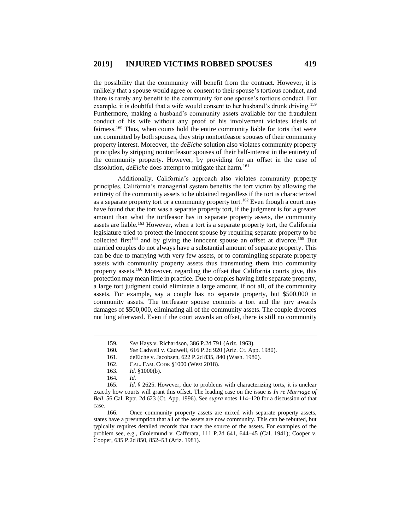the possibility that the community will benefit from the contract. However, it is unlikely that a spouse would agree or consent to their spouse's tortious conduct, and there is rarely any benefit to the community for one spouse's tortious conduct. For example, it is doubtful that a wife would consent to her husband's drunk driving.<sup>159</sup> Furthermore, making a husband's community assets available for the fraudulent conduct of his wife without any proof of his involvement violates ideals of fairness.<sup>160</sup> Thus, when courts hold the entire community liable for torts that were not committed by both spouses, they strip nontortfeasor spouses of their community property interest. Moreover, the *deElche* solution also violates community property principles by stripping nontortfeasor spouses of their half-interest in the entirety of the community property. However, by providing for an offset in the case of dissolution, *deElche* does attempt to mitigate that harm.<sup>161</sup>

Additionally, California's approach also violates community property principles. California's managerial system benefits the tort victim by allowing the entirety of the community assets to be obtained regardless if the tort is characterized as a separate property tort or a community property tort.<sup>162</sup> Even though a court may have found that the tort was a separate property tort, if the judgment is for a greater amount than what the tortfeasor has in separate property assets, the community assets are liable.<sup>163</sup> However, when a tort is a separate property tort, the California legislature tried to protect the innocent spouse by requiring separate property to be collected first<sup>164</sup> and by giving the innocent spouse an offset at divorce.<sup>165</sup> But married couples do not always have a substantial amount of separate property. This can be due to marrying with very few assets, or to commingling separate property assets with community property assets thus transmuting them into community property assets.<sup>166</sup> Moreover, regarding the offset that California courts give, this protection may mean little in practice. Due to couples having little separate property, a large tort judgment could eliminate a large amount, if not all, of the community assets. For example, say a couple has no separate property, but \$500,000 in community assets. The tortfeasor spouse commits a tort and the jury awards damages of \$500,000, eliminating all of the community assets. The couple divorces not long afterward. Even if the court awards an offset, there is still no community

<sup>159</sup>*. See* Hays v. Richardson, 386 P.2d 791 (Ariz. 1963).

<sup>160</sup>*. See* Cadwell v. Cadwell, 616 P.2d 920 (Ariz. Ct. App. 1980).

<sup>161.</sup> deElche v. Jacobsen, 622 P.2d 835, 840 (Wash. 1980).

<sup>162.</sup> CAL. FAM. CODE §1000 (West 2018).

<sup>163.</sup> *Id.* §1000(b).

<sup>164</sup>*. Id.*

<sup>165.</sup> *Id.* § 2625. However, due to problems with characterizing torts, it is unclear exactly how courts will grant this offset. The leading case on the issue is *In re Marriage of Bell*, 56 Cal. Rptr. 2d 623 (Ct. App. 1996). See *supra* notes 114–120 for a discussion of that case.

<sup>166.</sup> Once community property assets are mixed with separate property assets, states have a presumption that all of the assets are now community. This can be rebutted, but typically requires detailed records that trace the source of the assets. For examples of the problem see, e.g., Grolemund v. Cafferata, 111 P.2d 641, 644–45 (Cal. 1941); Cooper v. Cooper, 635 P.2d 850, 852–53 (Ariz. 1981).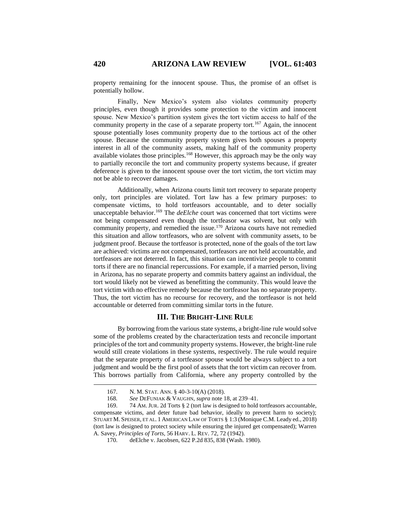property remaining for the innocent spouse. Thus, the promise of an offset is potentially hollow.

Finally, New Mexico's system also violates community property principles, even though it provides some protection to the victim and innocent spouse. New Mexico's partition system gives the tort victim access to half of the community property in the case of a separate property tort.<sup>167</sup> Again, the innocent spouse potentially loses community property due to the tortious act of the other spouse. Because the community property system gives both spouses a property interest in all of the community assets, making half of the community property available violates those principles.<sup>168</sup> However, this approach may be the only way to partially reconcile the tort and community property systems because, if greater deference is given to the innocent spouse over the tort victim, the tort victim may not be able to recover damages.

Additionally, when Arizona courts limit tort recovery to separate property only, tort principles are violated. Tort law has a few primary purposes: to compensate victims, to hold tortfeasors accountable, and to deter socially unacceptable behavior.<sup>169</sup> The *deElche* court was concerned that tort victims were not being compensated even though the tortfeasor was solvent, but only with community property, and remedied the issue.<sup>170</sup> Arizona courts have not remedied this situation and allow tortfeasors, who are solvent with community assets, to be judgment proof. Because the tortfeasor is protected, none of the goals of the tort law are achieved: victims are not compensated, tortfeasors are not held accountable, and tortfeasors are not deterred. In fact, this situation can incentivize people to commit torts if there are no financial repercussions. For example, if a married person, living in Arizona, has no separate property and commits battery against an individual, the tort would likely not be viewed as benefitting the community. This would leave the tort victim with no effective remedy because the tortfeasor has no separate property. Thus, the tort victim has no recourse for recovery, and the tortfeasor is not held accountable or deterred from committing similar torts in the future.

# **III. THE BRIGHT-LINE RULE**

By borrowing from the various state systems, a bright-line rule would solve some of the problems created by the characterization tests and reconcile important principles of the tort and community property systems. However, the bright-line rule would still create violations in these systems, respectively. The rule would require that the separate property of a tortfeasor spouse would be always subject to a tort judgment and would be the first pool of assets that the tort victim can recover from. This borrows partially from California, where any property controlled by the

<sup>167.</sup> N. M. STAT. ANN. § 40-3-10(A) (2018).

<sup>168</sup>*. See* DEFUNIAK & VAUGHN, *supra* note 18, at 239–41.

<sup>169.</sup> 74 AM. JUR. 2d Torts § 2 (tort law is designed to hold tortfeasors accountable, compensate victims, and deter future bad behavior, ideally to prevent harm to society); STUART M. SPEISER, ET AL. 1 AMERICAN LAW OF TORTS § 1:3 (Monique C.M. Leady ed., 2018) (tort law is designed to protect society while ensuring the injured get compensated); Warren A. Savey, *Principles of Torts*, 56 HARV. L. REV. 72, 72 (1942).

<sup>170.</sup> deElche v. Jacobsen, 622 P.2d 835, 838 (Wash. 1980).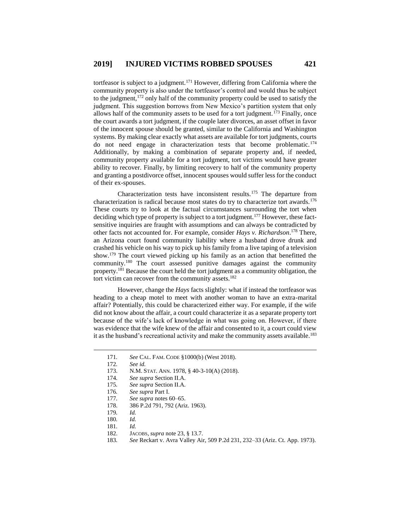tortfeasor is subject to a judgment.<sup>171</sup> However, differing from California where the community property is also under the tortfeasor's control and would thus be subject to the judgment, $172$  only half of the community property could be used to satisfy the judgment. This suggestion borrows from New Mexico's partition system that only allows half of the community assets to be used for a tort judgment.<sup>173</sup> Finally, once the court awards a tort judgment, if the couple later divorces, an asset offset in favor of the innocent spouse should be granted, similar to the California and Washington systems. By making clear exactly what assets are available for tort judgments, courts do not need engage in characterization tests that become problematic.<sup>174</sup> Additionally, by making a combination of separate property and, if needed, community property available for a tort judgment, tort victims would have greater ability to recover. Finally, by limiting recovery to half of the community property and granting a postdivorce offset, innocent spouses would suffer less for the conduct of their ex-spouses.

Characterization tests have inconsistent results.<sup>175</sup> The departure from characterization is radical because most states do try to characterize tort awards.<sup>176</sup> These courts try to look at the factual circumstances surrounding the tort when deciding which type of property is subject to a tort judgment.<sup>177</sup> However, these factsensitive inquiries are fraught with assumptions and can always be contradicted by other facts not accounted for. For example, consider *Hays v. Richardson*. <sup>178</sup> There, an Arizona court found community liability where a husband drove drunk and crashed his vehicle on his way to pick up his family from a live taping of a television show.<sup>179</sup> The court viewed picking up his family as an action that benefitted the community.<sup>180</sup> The court assessed punitive damages against the community property.<sup>181</sup> Because the court held the tort judgment as a community obligation, the tort victim can recover from the community assets.<sup>182</sup>

However, change the *Hays* facts slightly: what if instead the tortfeasor was heading to a cheap motel to meet with another woman to have an extra-marital affair? Potentially, this could be characterized either way. For example, if the wife did not know about the affair, a court could characterize it as a separate property tort because of the wife's lack of knowledge in what was going on. However, if there was evidence that the wife knew of the affair and consented to it, a court could view it as the husband's recreational activity and make the community assets available.<sup>183</sup>

- 171*. See* CAL. FAM. CODE §1000(b) (West 2018).
- 172*. See id.*

- 173. N.M. STAT. ANN. 1978, § 40-3-10(A) (2018).
- 174*. See supra* Section II.A.
- 175*. See supra* Section II.A.
- 176*. See supra* Part I.
- 177*. See supra* notes 60–65.
- 178. 386 P.2d 791, 792 (Ariz. 1963).
- 179*. Id.*
- 180*. Id.*
- 181*. Id.*
- 182. JACOBS, *supra* note 23, § 13.7.
- 183*. See* Reckart v. Avra Valley Air, 509 P.2d 231, 232–33 (Ariz. Ct. App. 1973).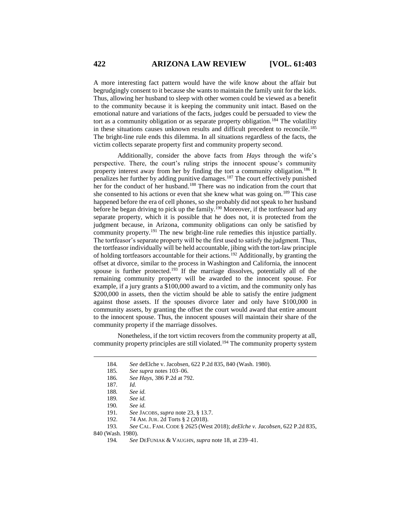A more interesting fact pattern would have the wife know about the affair but begrudgingly consent to it because she wants to maintain the family unit for the kids. Thus, allowing her husband to sleep with other women could be viewed as a benefit to the community because it is keeping the community unit intact. Based on the emotional nature and variations of the facts, judges could be persuaded to view the tort as a community obligation or as separate property obligation.<sup>184</sup> The volatility in these situations causes unknown results and difficult precedent to reconcile.<sup>185</sup> The bright-line rule ends this dilemma. In all situations regardless of the facts, the victim collects separate property first and community property second.

Additionally, consider the above facts from *Hays* through the wife's perspective. There, the court's ruling strips the innocent spouse's community property interest away from her by finding the tort a community obligation.<sup>186</sup> It penalizes her further by adding punitive damages.<sup>187</sup> The court effectively punished her for the conduct of her husband.<sup>188</sup> There was no indication from the court that she consented to his actions or even that she knew what was going on.<sup>189</sup> This case happened before the era of cell phones, so she probably did not speak to her husband before he began driving to pick up the family.<sup>190</sup> Moreover, if the tortfeasor had any separate property, which it is possible that he does not, it is protected from the judgment because, in Arizona, community obligations can only be satisfied by community property.<sup>191</sup> The new bright-line rule remedies this injustice partially. The tortfeasor's separate property will be the first used to satisfy the judgment. Thus, the tortfeasor individually will be held accountable, jibing with the tort-law principle of holding tortfeasors accountable for their actions.<sup>192</sup> Additionally, by granting the offset at divorce, similar to the process in Washington and California, the innocent spouse is further protected.<sup>193</sup> If the marriage dissolves, potentially all of the remaining community property will be awarded to the innocent spouse. For example, if a jury grants a \$100,000 award to a victim, and the community only has \$200,000 in assets, then the victim should be able to satisfy the entire judgment against those assets. If the spouses divorce later and only have \$100,000 in community assets, by granting the offset the court would award that entire amount to the innocent spouse. Thus, the innocent spouses will maintain their share of the community property if the marriage dissolves.

Nonetheless, if the tort victim recovers from the community property at all, community property principles are still violated.<sup>194</sup> The community property system

 $\overline{a}$ 

840 (Wash. 1980).

<sup>184</sup>*. See* deElche v. Jacobsen, 622 P.2d 835, 840 (Wash. 1980).

<sup>185</sup>*. See supra* notes 103–06.

<sup>186</sup>*. See Hays*, 386 P.2d at 792.

<sup>187</sup>*. Id.*

<sup>188</sup>*. See id.*

<sup>189</sup>*. See id.*

<sup>190</sup>*. See id.*

<sup>191</sup>*. See* JACOBS, *supra* note 23, § 13.7.

<sup>192.</sup> 74 AM. JUR. 2d Torts § 2 (2018).

<sup>193</sup>*. See* CAL. FAM. CODE § 2625 (West 2018); *deElche v. Jacobsen*, 622 P.2d 835,

<sup>194</sup>*. See* DEFUNIAK & VAUGHN, *supra* note 18, at 239–41.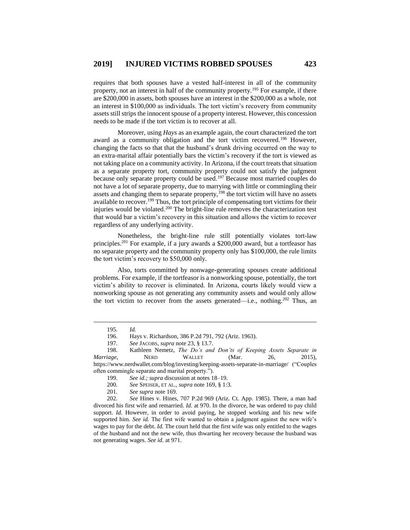requires that both spouses have a vested half-interest in all of the community property, not an interest in half of the community property.<sup>195</sup> For example, if there are \$200,000 in assets, both spouses have an interest in the \$200,000 as a whole, not an interest in \$100,000 as individuals. The tort victim's recovery from community assets still strips the innocent spouse of a property interest. However, this concession needs to be made if the tort victim is to recover at all.

Moreover, using *Hays* as an example again, the court characterized the tort award as a community obligation and the tort victim recovered.<sup>196</sup> However, changing the facts so that that the husband's drunk driving occurred on the way to an extra-marital affair potentially bars the victim's recovery if the tort is viewed as not taking place on a community activity. In Arizona, if the court treats that situation as a separate property tort, community property could not satisfy the judgment because only separate property could be used.<sup>197</sup> Because most married couples do not have a lot of separate property, due to marrying with little or commingling their assets and changing them to separate property,<sup>198</sup> the tort victim will have no assets available to recover.<sup>199</sup> Thus, the tort principle of compensating tort victims for their injuries would be violated.<sup>200</sup> The bright-line rule removes the characterization test that would bar a victim's recovery in this situation and allows the victim to recover regardless of any underlying activity.

Nonetheless, the bright-line rule still potentially violates tort-law principles.<sup>201</sup> For example, if a jury awards a \$200,000 award, but a tortfeasor has no separate property and the community property only has \$100,000, the rule limits the tort victim's recovery to \$50,000 only.

Also, torts committed by nonwage-generating spouses create additional problems. For example, if the tortfeasor is a nonworking spouse, potentially, the tort victim's ability to recover is eliminated. In Arizona, courts likely would view a nonworking spouse as not generating any community assets and would only allow the tort victim to recover from the assets generated—i.e., nothing.<sup>202</sup> Thus, an

<sup>195</sup>*. Id.*

<sup>196.</sup> Hays v. Richardson, 386 P.2d 791, 792 (Ariz. 1963).

<sup>197</sup>*. See* JACOBS, *supra* note 23, § 13.7.

<sup>198.</sup> Kathleen Nemetz, *The Do's and Don'ts of Keeping Assets Separate in Marriage*, **NERD** WALLET (Mar. 26, 2015), https://www.nerdwallet.com/blog/investing/keeping-assets-separate-in-marriage/ ("Couples often commingle separate and marital property.").

<sup>199</sup>*. See id.; supra* discussion at notes 18–19.

<sup>200</sup>*. See* SPEISER, ET AL., *supra* note 169, § 1:3.

<sup>201</sup>*. See supra* note 169.

<sup>202</sup>*. See* Hines v. Hines, 707 P.2d 969 (Ariz. Ct. App. 1985). There, a man had divorced his first wife and remarried. *Id.* at 970. In the divorce, he was ordered to pay child support. *Id.* However, in order to avoid paying, he stopped working and his new wife supported him. *See id.* The first wife wanted to obtain a judgment against the new wife's wages to pay for the debt. *Id.* The court held that the first wife was only entitled to the wages of the husband and not the new wife, thus thwarting her recovery because the husband was not generating wages. *See id.* at 971.